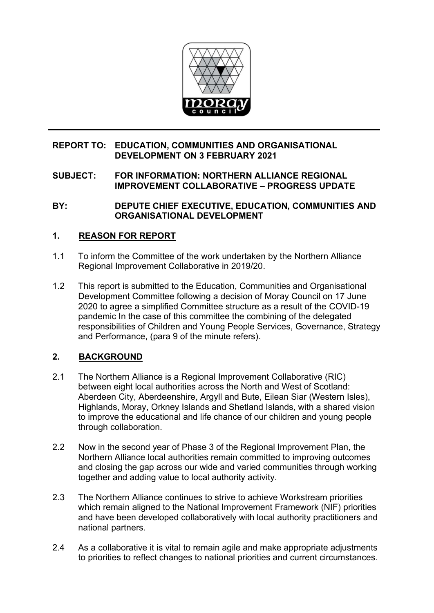

## **REPORT TO: EDUCATION, COMMUNITIES AND ORGANISATIONAL DEVELOPMENT ON 3 FEBRUARY 2021**

## **SUBJECT: FOR INFORMATION: NORTHERN ALLIANCE REGIONAL IMPROVEMENT COLLABORATIVE – PROGRESS UPDATE**

**BY: DEPUTE CHIEF EXECUTIVE, EDUCATION, COMMUNITIES AND ORGANISATIONAL DEVELOPMENT** 

## **1. REASON FOR REPORT**

- 1.1 To inform the Committee of the work undertaken by the Northern Alliance Regional Improvement Collaborative in 2019/20.
- 1.2 This report is submitted to the Education, Communities and Organisational Development Committee following a decision of Moray Council on 17 June 2020 to agree a simplified Committee structure as a result of the COVID-19 pandemic In the case of this committee the combining of the delegated responsibilities of Children and Young People Services, Governance, Strategy and Performance, (para 9 of the minute refers).

## **2. BACKGROUND**

- 2.1 The Northern Alliance is a Regional Improvement Collaborative (RIC) between eight local authorities across the North and West of Scotland: Aberdeen City, Aberdeenshire, Argyll and Bute, Eilean Siar (Western Isles), Highlands, Moray, Orkney Islands and Shetland Islands, with a shared vision to improve the educational and life chance of our children and young people through collaboration.
- 2.2 Now in the second year of Phase 3 of the Regional Improvement Plan, the Northern Alliance local authorities remain committed to improving outcomes and closing the gap across our wide and varied communities through working together and adding value to local authority activity.
- 2.3 The Northern Alliance continues to strive to achieve Workstream priorities which remain aligned to the National Improvement Framework (NIF) priorities and have been developed collaboratively with local authority practitioners and national partners.
- 2.4 As a collaborative it is vital to remain agile and make appropriate adjustments to priorities to reflect changes to national priorities and current circumstances.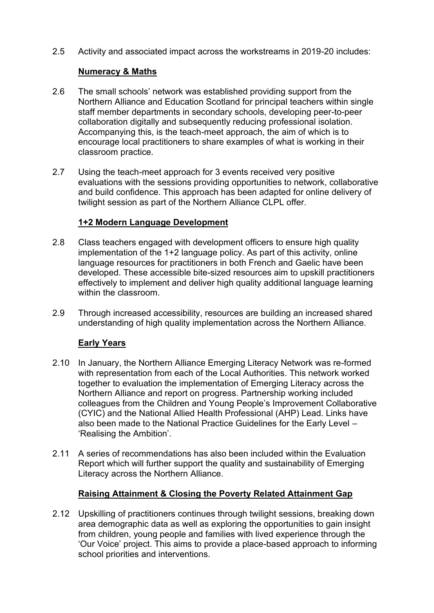2.5 Activity and associated impact across the workstreams in 2019-20 includes:

## **Numeracy & Maths**

- 2.6 The small schools' network was established providing support from the Northern Alliance and Education Scotland for principal teachers within single staff member departments in secondary schools, developing peer-to-peer collaboration digitally and subsequently reducing professional isolation. Accompanying this, is the teach-meet approach, the aim of which is to encourage local practitioners to share examples of what is working in their classroom practice.
- 2.7 Using the teach-meet approach for 3 events received very positive evaluations with the sessions providing opportunities to network, collaborative and build confidence. This approach has been adapted for online delivery of twilight session as part of the Northern Alliance CLPL offer.

## **1+2 Modern Language Development**

- 2.8 Class teachers engaged with development officers to ensure high quality implementation of the 1+2 language policy. As part of this activity, online language resources for practitioners in both French and Gaelic have been developed. These accessible bite-sized resources aim to upskill practitioners effectively to implement and deliver high quality additional language learning within the classroom.
- 2.9 Through increased accessibility, resources are building an increased shared understanding of high quality implementation across the Northern Alliance.

## **Early Years**

- 2.10 In January, the Northern Alliance Emerging Literacy Network was re-formed with representation from each of the Local Authorities. This network worked together to evaluation the implementation of Emerging Literacy across the Northern Alliance and report on progress. Partnership working included colleagues from the Children and Young People's Improvement Collaborative (CYIC) and the National Allied Health Professional (AHP) Lead. Links have also been made to the National Practice Guidelines for the Early Level – 'Realising the Ambition'.
- 2.11 A series of recommendations has also been included within the Evaluation Report which will further support the quality and sustainability of Emerging Literacy across the Northern Alliance.

## **Raising Attainment & Closing the Poverty Related Attainment Gap**

2.12 Upskilling of practitioners continues through twilight sessions, breaking down area demographic data as well as exploring the opportunities to gain insight from children, young people and families with lived experience through the 'Our Voice' project. This aims to provide a place-based approach to informing school priorities and interventions.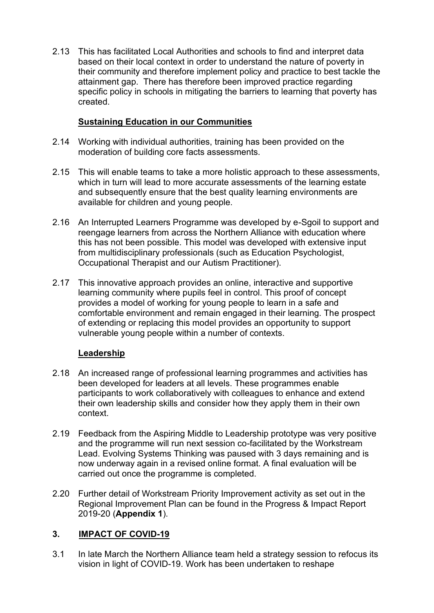2.13 This has facilitated Local Authorities and schools to find and interpret data based on their local context in order to understand the nature of poverty in their community and therefore implement policy and practice to best tackle the attainment gap. There has therefore been improved practice regarding specific policy in schools in mitigating the barriers to learning that poverty has created.

## **Sustaining Education in our Communities**

- 2.14 Working with individual authorities, training has been provided on the moderation of building core facts assessments.
- 2.15 This will enable teams to take a more holistic approach to these assessments, which in turn will lead to more accurate assessments of the learning estate and subsequently ensure that the best quality learning environments are available for children and young people.
- 2.16 An Interrupted Learners Programme was developed by e-Sgoil to support and reengage learners from across the Northern Alliance with education where this has not been possible. This model was developed with extensive input from multidisciplinary professionals (such as Education Psychologist, Occupational Therapist and our Autism Practitioner).
- 2.17 This innovative approach provides an online, interactive and supportive learning community where pupils feel in control. This proof of concept provides a model of working for young people to learn in a safe and comfortable environment and remain engaged in their learning. The prospect of extending or replacing this model provides an opportunity to support vulnerable young people within a number of contexts.

# **Leadership**

- 2.18 An increased range of professional learning programmes and activities has been developed for leaders at all levels. These programmes enable participants to work collaboratively with colleagues to enhance and extend their own leadership skills and consider how they apply them in their own context.
- 2.19 Feedback from the Aspiring Middle to Leadership prototype was very positive and the programme will run next session co-facilitated by the Workstream Lead. Evolving Systems Thinking was paused with 3 days remaining and is now underway again in a revised online format. A final evaluation will be carried out once the programme is completed.
- 2.20 Further detail of Workstream Priority Improvement activity as set out in the Regional Improvement Plan can be found in the Progress & Impact Report 2019-20 (**Appendix 1**).

## **3. IMPACT OF COVID-19**

3.1 In late March the Northern Alliance team held a strategy session to refocus its vision in light of COVID-19. Work has been undertaken to reshape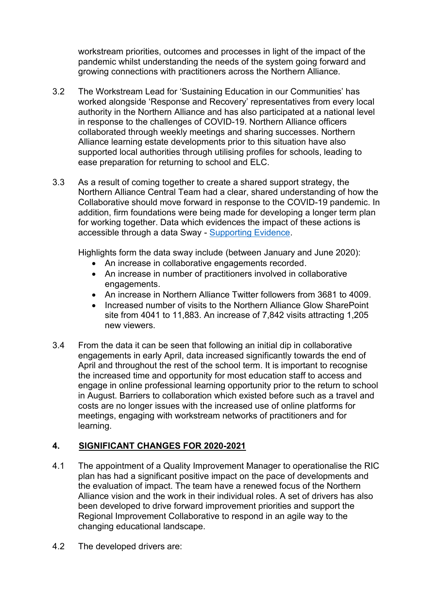workstream priorities, outcomes and processes in light of the impact of the pandemic whilst understanding the needs of the system going forward and growing connections with practitioners across the Northern Alliance.

- 3.2 The Workstream Lead for 'Sustaining Education in our Communities' has worked alongside 'Response and Recovery' representatives from every local authority in the Northern Alliance and has also participated at a national level in response to the challenges of COVID-19. Northern Alliance officers collaborated through weekly meetings and sharing successes. Northern Alliance learning estate developments prior to this situation have also supported local authorities through utilising profiles for schools, leading to ease preparation for returning to school and ELC.
- 3.3 As a result of coming together to create a shared support strategy, the Northern Alliance Central Team had a clear, shared understanding of how the Collaborative should move forward in response to the COVID-19 pandemic. In addition, firm foundations were being made for developing a longer term plan for working together. Data which evidences the impact of these actions is accessible through a data Sway - [Supporting Evidence.](https://sway.office.com/GRie6QTFCUTgwNCc?ref=Link)

Highlights form the data sway include (between January and June 2020):

- An increase in collaborative engagements recorded.
- An increase in number of practitioners involved in collaborative engagements.
- An increase in Northern Alliance Twitter followers from 3681 to 4009.
- Increased number of visits to the Northern Alliance Glow SharePoint site from 4041 to 11,883. An increase of 7,842 visits attracting 1,205 new viewers.
- 3.4 From the data it can be seen that following an initial dip in collaborative engagements in early April, data increased significantly towards the end of April and throughout the rest of the school term. It is important to recognise the increased time and opportunity for most education staff to access and engage in online professional learning opportunity prior to the return to school in August. Barriers to collaboration which existed before such as a travel and costs are no longer issues with the increased use of online platforms for meetings, engaging with workstream networks of practitioners and for learning.

## **4. SIGNIFICANT CHANGES FOR 2020-2021**

- 4.1 The appointment of a Quality Improvement Manager to operationalise the RIC plan has had a significant positive impact on the pace of developments and the evaluation of impact. The team have a renewed focus of the Northern Alliance vision and the work in their individual roles. A set of drivers has also been developed to drive forward improvement priorities and support the Regional Improvement Collaborative to respond in an agile way to the changing educational landscape.
- 4.2 The developed drivers are: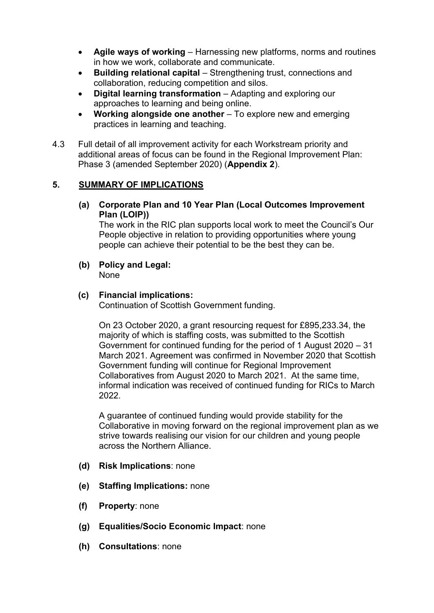- **Agile ways of working** Harnessing new platforms, norms and routines in how we work, collaborate and communicate.
- **Building relational capital** Strengthening trust, connections and collaboration, reducing competition and silos.
- **Digital learning transformation** Adapting and exploring our approaches to learning and being online.
- **Working alongside one another**  To explore new and emerging practices in learning and teaching.
- 4.3 Full detail of all improvement activity for each Workstream priority and additional areas of focus can be found in the Regional Improvement Plan: Phase 3 (amended September 2020) (**Appendix 2**).

## **5. SUMMARY OF IMPLICATIONS**

**(a) Corporate Plan and 10 Year Plan (Local Outcomes Improvement Plan (LOIP))** 

The work in the RIC plan supports local work to meet the Council's Our People objective in relation to providing opportunities where young people can achieve their potential to be the best they can be.

- **(b) Policy and Legal:**  None
- **(c) Financial implications:**

Continuation of Scottish Government funding.

On 23 October 2020, a grant resourcing request for £895,233.34, the majority of which is staffing costs, was submitted to the Scottish Government for continued funding for the period of 1 August 2020 – 31 March 2021. Agreement was confirmed in November 2020 that Scottish Government funding will continue for Regional Improvement Collaboratives from August 2020 to March 2021. At the same time, informal indication was received of continued funding for RICs to March 2022.

A guarantee of continued funding would provide stability for the Collaborative in moving forward on the regional improvement plan as we strive towards realising our vision for our children and young people across the Northern Alliance.

- **(d) Risk Implications**: none
- **(e) Staffing Implications:** none
- **(f) Property**: none
- **(g) Equalities/Socio Economic Impact**: none
- **(h) Consultations**: none